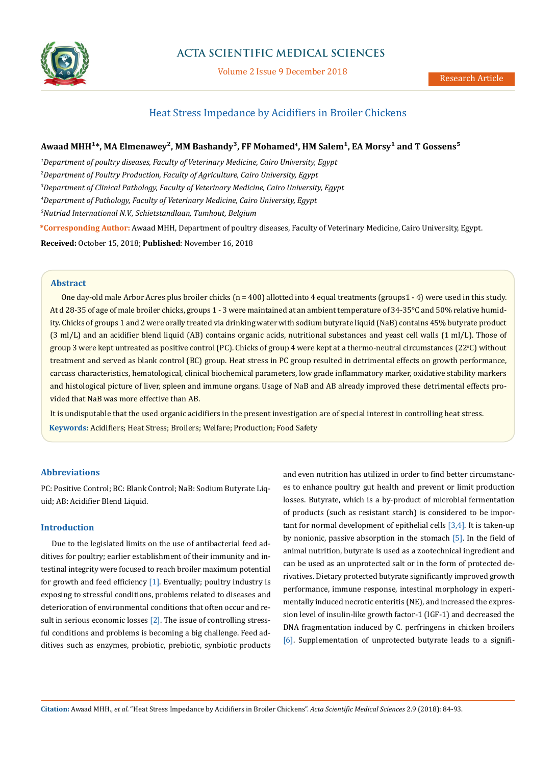

# **ACTA SCIENTIFIC MEDICAL SCIENCES**

Volume 2 Issue 9 December 2018

# Heat Stress Impedance by Acidifiers in Broiler Chickens

# Awaad MHH<sup>1\*</sup>, MA Elmenawey<sup>2</sup>, MM Bashandy<sup>3</sup>, FF Mohamed<sup>4</sup>, HM Salem<sup>1</sup>, EA Morsy<sup>1</sup> and T Gossens<sup>5</sup>

 *Department of poultry diseases, Faculty of Veterinary Medicine, Cairo University, Egypt Department of Poultry Production, Faculty of Agriculture, Cairo University, Egypt Department of Clinical Pathology, Faculty of Veterinary Medicine, Cairo University, Egypt Department of Pathology, Faculty of Veterinary Medicine, Cairo University, Egypt Nutriad International N.V., Schietstandlaan, Tumhout, Belgium*  **\*Corresponding Author:** Awaad MHH, Department of poultry diseases, Faculty of Veterinary Medicine, Cairo University, Egypt. **Received:** October 15, 2018; **Published**: November 16, 2018

## **Abstract**

One day-old male Arbor Acres plus broiler chicks (n = 400) allotted into 4 equal treatments (groups1 - 4) were used in this study. At d 28-35 of age of male broiler chicks, groups 1 - 3 were maintained at an ambient temperature of 34-35°C and 50% relative humidity. Chicks of groups 1 and 2 were orally treated via drinking water with sodium butyrate liquid (NaB) contains 45% butyrate product (3 ml/L) and an acidifier blend liquid (AB) contains organic acids, nutritional substances and yeast cell walls (1 ml/L). Those of group 3 were kept untreated as positive control (PC). Chicks of group 4 were kept at a thermo-neutral circumstances (22°C) without treatment and served as blank control (BC) group. Heat stress in PC group resulted in detrimental effects on growth performance, carcass characteristics, hematological, clinical biochemical parameters, low grade inflammatory marker, oxidative stability markers and histological picture of liver, spleen and immune organs. Usage of NaB and AB already improved these detrimental effects provided that NaB was more effective than AB.

**Keywords:** Acidifiers; Heat Stress; Broilers; Welfare; Production; Food Safety It is undisputable that the used organic acidifiers in the present investigation are of special interest in controlling heat stress.

## **Abbreviations**

PC: Positive Control; BC: Blank Control; NaB: Sodium Butyrate Liquid; AB: Acidifier Blend Liquid.

### **Introduction**

Due to the legislated limits on the use of antibacterial feed additives for poultry; earlier establishment of their immunity and intestinal integrity were focused to reach broiler maximum potential for growth and feed efficiency  $[1]$ . Eventually; poultry industry is exposing to stressful conditions, problems related to diseases and deterioration of environmental conditions that often occur and result in serious economic losses [2]. The issue of controlling stressful conditions and problems is becoming a big challenge. Feed additives such as enzymes, probiotic, prebiotic, synbiotic products and even nutrition has utilized in order to find better circumstances to enhance poultry gut health and prevent or limit production losses. Butyrate, which is a by-product of microbial fermentation of products (such as resistant starch) is considered to be important for normal development of epithelial cells [3,4]. It is taken-up by nonionic, passive absorption in the stomach [5]. In the field of animal nutrition, butyrate is used as a zootechnical ingredient and can be used as an unprotected salt or in the form of protected derivatives. Dietary protected butyrate significantly improved growth performance, immune response, intestinal morphology in experimentally induced necrotic enteritis (NE), and increased the expression level of insulin-like growth factor-1 (IGF-1) and decreased the DNA fragmentation induced by C. perfringens in chicken broilers [6]. Supplementation of unprotected butyrate leads to a signifi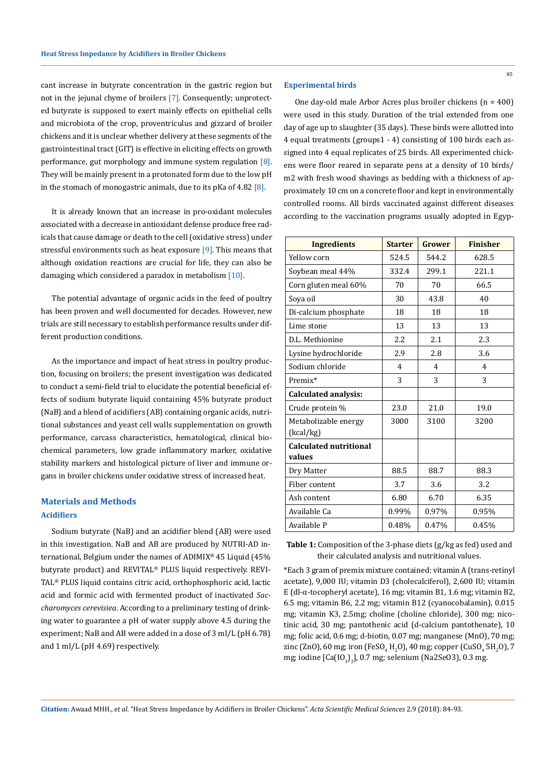cant increase in butyrate concentration in the gastric region but not in the jejunal chyme of broilers [7]. Consequently; unprotected butyrate is supposed to exert mainly effects on epithelial cells and microbiota of the crop, proventriculus and gizzard of broiler chickens and it is unclear whether delivery at these segments of the gastrointestinal tract (GIT) is effective in eliciting effects on growth performance, gut morphology and immune system regulation [8]. They will be mainly present in a protonated form due to the low pH in the stomach of monogastric animals, due to its pKa of 4.82  $[8]$ .

It is already known that an increase in pro-oxidant molecules associated with a decrease in antioxidant defense produce free radicals that cause damage or death to the cell (oxidative stress) under stressful environments such as heat exposure [9]. This means that although oxidation reactions are crucial for life, they can also be damaging which considered a paradox in metabolism [10].

The potential advantage of organic acids in the feed of poultry has been proven and well documented for decades. However, new trials are still necessary to establish performance results under different production conditions.

As the importance and impact of heat stress in poultry production, focusing on broilers; the present investigation was dedicated to conduct a semi-field trial to elucidate the potential beneficial effects of sodium butyrate liquid containing 45% butyrate product (NaB) and a blend of acidifiers (AB) containing organic acids, nutritional substances and yeast cell walls supplementation on growth performance, carcass characteristics, hematological, clinical biochemical parameters, low grade inflammatory marker, oxidative stability markers and histological picture of liver and immune organs in broiler chickens under oxidative stress of increased heat.

# **Acidifiers Materials and Methods**

Sodium butyrate (NaB) and an acidifier blend (AB) were used in this investigation. NaB and AB are produced by NUTRI-AD international, Belgium under the names of ADIMIX® 45 Liquid (45% butyrate product) and REVITAL® PLUS liquid respectively. REVI-TAL® PLUS liquid contains citric acid, orthophosphoric acid, lactic acid and formic acid with fermented product of inactivated *Saccharomyces cerevisiea*. According to a preliminary testing of drinking water to guarantee a pH of water supply above 4.5 during the experiment; NaB and AB were added in a dose of 3 ml/L (pH 6.78) and 1 ml/L (pH 4.69) respectively.

#### **Experimental birds**

One day-old male Arbor Acres plus broiler chickens (n = 400) were used in this study. Duration of the trial extended from one day of age up to slaughter (35 days). These birds were allotted into 4 equal treatments (groups1 - 4) consisting of 100 birds each assigned into 4 equal replicates of 25 birds. All experimented chickens were floor reared in separate pens at a density of 10 birds/ m2 with fresh wood shavings as bedding with a thickness of approximately 10 cm on a concrete floor and kept in environmentally controlled rooms. All birds vaccinated against different diseases according to the vaccination programs usually adopted in Egyp-

| <b>Ingredients</b>                      | <b>Starter</b> | <b>Grower</b> | <b>Finisher</b> |  |  |  |
|-----------------------------------------|----------------|---------------|-----------------|--|--|--|
| Yellow corn                             | 524.5          | 544.2         | 628.5           |  |  |  |
| Soybean meal 44%                        | 332.4          | 299.1         | 221.1           |  |  |  |
| Corn gluten meal 60%                    | 70             | 70            | 66.5            |  |  |  |
| Soya oil                                | 30             | 43.8          | 40              |  |  |  |
| Di-calcium phosphate                    | 18             | 18            | 18              |  |  |  |
| Lime stone                              | 13             | 13            | 13              |  |  |  |
| D.L. Methionine                         | 2.2            | 2.1           | 2.3             |  |  |  |
| Lysine hydrochloride                    | 2.9            | 2.8           | 3.6             |  |  |  |
| Sodium chloride                         | 4              | 4             | 4               |  |  |  |
| Premix*                                 | 3              | 3             | 3               |  |  |  |
| <b>Calculated analysis:</b>             |                |               |                 |  |  |  |
| Crude protein %                         | 23.0           | 21.0          | 19.0            |  |  |  |
| Metabolizable energy<br>(kcal/kg)       | 3000           | 3100          | 3200            |  |  |  |
| <b>Calculated nutritional</b><br>values |                |               |                 |  |  |  |
| Dry Matter                              | 88.5           | 88.7          | 88.3            |  |  |  |
| Fiber content                           | 3.7<br>3.6     |               | 3.2             |  |  |  |
| Ash content                             | 6.80           | 6.70          | 6.35            |  |  |  |
| Available Ca                            | 0.99%          | 0.97%         | 0.95%           |  |  |  |
| Available P                             | 0.48%          | 0.45%         |                 |  |  |  |

**Table 1:** Composition of the 3-phase diets (g/kg as fed) used and their calculated analysis and nutritional values.

\*Each 3 gram of premix mixture contained: vitamin A (trans-retinyl acetate), 9,000 IU; vitamin D3 (cholecalciferol), 2,600 IU; vitamin E (dl-α-tocopheryl acetate), 16 mg; vitamin B1, 1.6 mg; vitamin B2, 6.5 mg; vitamin B6, 2.2 mg; vitamin B12 (cyanocobalamin), 0.015 mg; vitamin K3, 2.5mg; choline (choline chloride), 300 mg; nicotinic acid, 30 mg; pantothenic acid (d-calcium pantothenate), 10 mg; folic acid, 0.6 mg; d-biotin, 0.07 mg; manganese (MnO), 70 mg; zinc (ZnO), 60 mg; iron (FeSO $_{\rm 4}$  H<sub>2</sub>O), 40 mg; copper (CuSO $_{\rm 4}$  5H<sub>2</sub>O), 7 mg; iodine [Ca(IO<sub>3</sub>)<sub>2</sub>], 0.7 mg; selenium (Na2SeO3), 0.3 mg.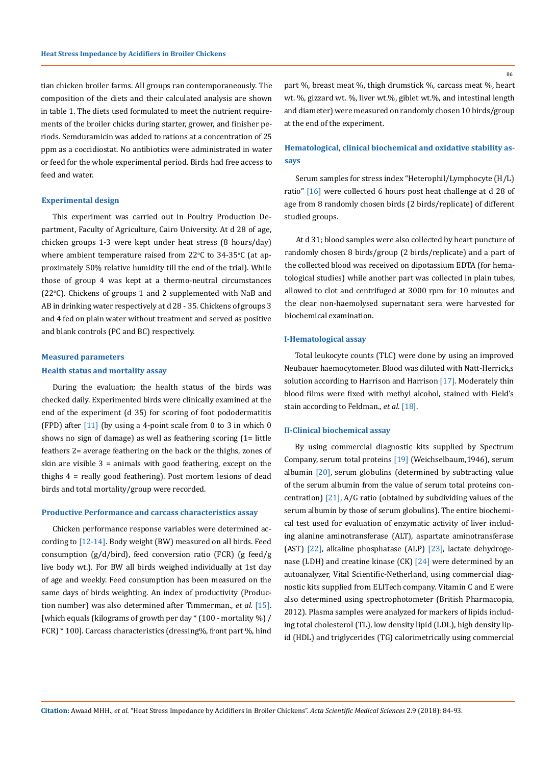tian chicken broiler farms. All groups ran contemporaneously. The composition of the diets and their calculated analysis are shown in table 1. The diets used formulated to meet the nutrient requirements of the broiler chicks during starter, grower, and finisher periods. Semduramicin was added to rations at a concentration of 25 ppm as a coccidiostat. No antibiotics were administrated in water or feed for the whole experimental period. Birds had free access to feed and water.

### **Experimental design**

This experiment was carried out in Poultry Production Department, Faculty of Agriculture, Cairo University. At d 28 of age, chicken groups 1-3 were kept under heat stress (8 hours/day) where ambient temperature raised from 22°C to 34-35°C (at approximately 50% relative humidity till the end of the trial). While those of group 4 was kept at a thermo-neutral circumstances  $(22^{\circ}C)$ . Chickens of groups 1 and 2 supplemented with NaB and AB in drinking water respectively at d 28 - 35. Chickens of groups 3 and 4 fed on plain water without treatment and served as positive and blank controls (PC and BC) respectively.

# **Health status and mortality assay Measured parameters**

During the evaluation; the health status of the birds was checked daily. Experimented birds were clinically examined at the end of the experiment (d 35) for scoring of foot pododermatitis (FPD) after [11] (by using a 4-point scale from 0 to 3 in which 0 shows no sign of damage) as well as feathering scoring (1= little feathers 2= average feathering on the back or the thighs, zones of skin are visible 3 = animals with good feathering, except on the thighs 4 = really good feathering). Post mortem lesions of dead birds and total mortality/group were recorded.

#### **Productive Performance and carcass characteristics assay**

Chicken performance response variables were determined according to [12-14]. Body weight (BW) measured on all birds. Feed consumption (g/d/bird), feed conversion ratio (FCR) (g feed/g live body wt.). For BW all birds weighed individually at 1st day of age and weekly. Feed consumption has been measured on the same days of birds weighting. An index of productivity (Production number) was also determined after Timmerman., *et al.* [15]. [which equals (kilograms of growth per day  $*(100$  - mortality %) / FCR) \* 100]. Carcass characteristics (dressing%, front part %, hind part %, breast meat %, thigh drumstick %, carcass meat %, heart wt. %, gizzard wt. %, liver wt.%, giblet wt.%, and intestinal length and diameter) were measured on randomly chosen 10 birds/group at the end of the experiment.

## **Hematological, clinical biochemical and oxidative stability assays**

Serum samples for stress index "Heterophil/Lymphocyte (H/L) ratio" [16] were collected 6 hours post heat challenge at d 28 of age from 8 randomly chosen birds (2 birds/replicate) of different studied groups.

At d 31; blood samples were also collected by heart puncture of randomly chosen 8 birds/group (2 birds/replicate) and a part of the collected blood was received on dipotassium EDTA (for hematological studies) while another part was collected in plain tubes, allowed to clot and centrifuged at 3000 rpm for 10 minutes and the clear non-haemolysed supernatant sera were harvested for biochemical examination.

## **I-Hematological assay**

Total leukocyte counts (TLC) were done by using an improved Neubauer haemocytometer. Blood was diluted with Natt-Herrick,s solution according to Harrison and Harrison [17]. Moderately thin blood films were fixed with methyl alcohol, stained with Field's stain according to Feldman., *et al*. [18].

#### **II-Clinical biochemical assay**

By using commercial diagnostic kits supplied by Spectrum Company, serum total proteins [19] (Weichselbaum,1946), serum albumin [20], serum globulins (determined by subtracting value of the serum albumin from the value of serum total proteins concentration) [21], A/G ratio (obtained by subdividing values of the serum albumin by those of serum globulins). The entire biochemical test used for evaluation of enzymatic activity of liver including alanine aminotransferase (ALT), aspartate aminotransferase (AST) [22], alkaline phosphatase (ALP) [23], lactate dehydrogenase (LDH) and creatine kinase (CK) [24] were determined by an autoanalyzer, Vital Scientific-Netherland, using commercial diagnostic kits supplied from ELITech company. Vitamin C and E were also determined using spectrophotometer (British Pharmacopia, 2012). Plasma samples were analyzed for markers of lipids including total cholesterol (TL), low density lipid (LDL), high density lipid (HDL) and triglycerides (TG) calorimetrically using commercial

86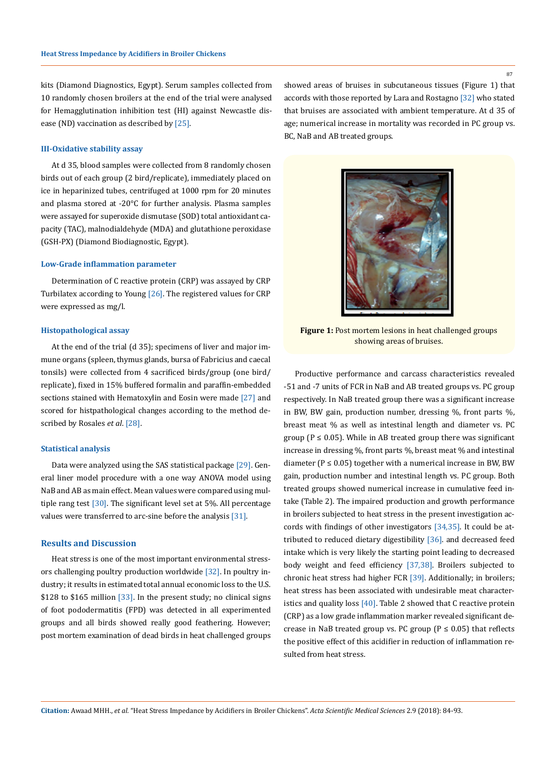kits (Diamond Diagnostics, Egypt). Serum samples collected from 10 randomly chosen broilers at the end of the trial were analysed for Hemagglutination inhibition test (HI) against Newcastle disease (ND) vaccination as described by [25].

## **III-Oxidative stability assay**

At d 35, blood samples were collected from 8 randomly chosen birds out of each group (2 bird/replicate), immediately placed on ice in heparinized tubes, centrifuged at 1000 rpm for 20 minutes and plasma stored at -20°C for further analysis. Plasma samples were assayed for superoxide dismutase (SOD) total antioxidant capacity (TAC), malnodialdehyde (MDA) and glutathione peroxidase (GSH-PX) (Diamond Biodiagnostic, Egypt).

#### **Low-Grade inflammation parameter**

Determination of C reactive protein (CRP) was assayed by CRP Turbilatex according to Young [26]. The registered values for CRP were expressed as mg/l.

#### **Histopathological assay**

At the end of the trial (d 35); specimens of liver and major immune organs (spleen, thymus glands, bursa of Fabricius and caecal tonsils) were collected from 4 sacrificed birds/group (one bird/ replicate), fixed in 15% buffered formalin and paraffin-embedded sections stained with Hematoxylin and Eosin were made [27] and scored for histpathological changes according to the method described by Rosales *et al*. [28].

#### **Statistical analysis**

Data were analyzed using the SAS statistical package [29]. General liner model procedure with a one way ANOVA model using NaB and AB as main effect. Mean values were compared using multiple rang test  $[30]$ . The significant level set at 5%. All percentage values were transferred to arc-sine before the analysis [31].

### **Results and Discussion**

Heat stress is one of the most important environmental stressors challenging poultry production worldwide [32]. In poultry industry; it results in estimated total annual economic loss to the U.S. \$128 to \$165 million  $\left[33\right]$ . In the present study; no clinical signs of foot pododermatitis (FPD) was detected in all experimented groups and all birds showed really good feathering. However; post mortem examination of dead birds in heat challenged groups

showed areas of bruises in subcutaneous tissues (Figure 1) that accords with those reported by Lara and Rostagno [32] who stated that bruises are associated with ambient temperature. At d 35 of age; numerical increase in mortality was recorded in PC group vs. BC, NaB and AB treated groups.



**Figure 1:** Post mortem lesions in heat challenged groups showing areas of bruises.

Productive performance and carcass characteristics revealed -51 and -7 units of FCR in NaB and AB treated groups vs. PC group respectively. In NaB treated group there was a significant increase in BW, BW gain, production number, dressing %, front parts %, breast meat % as well as intestinal length and diameter vs. PC group ( $P \le 0.05$ ). While in AB treated group there was significant increase in dressing %, front parts %, breast meat % and intestinal diameter ( $P \le 0.05$ ) together with a numerical increase in BW, BW gain, production number and intestinal length vs. PC group. Both treated groups showed numerical increase in cumulative feed intake (Table 2). The impaired production and growth performance in broilers subjected to heat stress in the present investigation accords with findings of other investigators [34,35]. It could be attributed to reduced dietary digestibility [36]. and decreased feed intake which is very likely the starting point leading to decreased body weight and feed efficiency [37,38]. Broilers subjected to chronic heat stress had higher FCR [39]. Additionally; in broilers; heat stress has been associated with undesirable meat characteristics and quality loss [40]. Table 2 showed that C reactive protein (CRP) as a low grade inflammation marker revealed significant decrease in NaB treated group vs. PC group ( $P \le 0.05$ ) that reflects the positive effect of this acidifier in reduction of inflammation resulted from heat stress.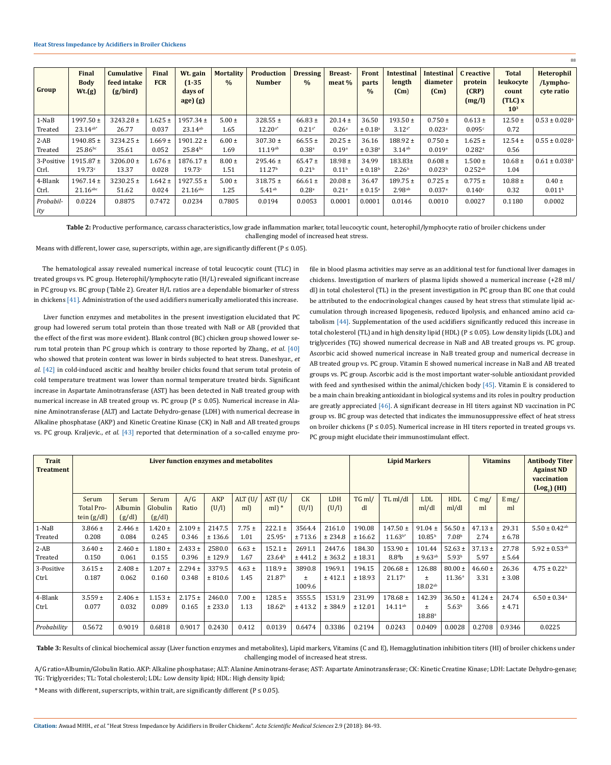| Group            | Final<br><b>Body</b><br>Wt.(g) | <b>Cumulative</b><br>feed intake<br>(g/bird) | Final<br><b>FCR</b> | Wt. gain<br>$(1-35)$<br>days of<br>age) (g) | <b>Mortality</b><br>$\frac{0}{0}$ | <b>Production</b><br><b>Number</b> | <b>Dressing</b><br>$\%$ | <b>Breast-</b><br>meat % | Front<br>parts<br>$\frac{0}{0}$ | <b>Intestinal</b><br>length<br>(Cm) | <b>Intestinal</b><br>diameter<br>(Cm) | C reactive<br>protein<br>(CRP)<br>(mg/l) | <b>Total</b><br>leukocyte<br>count<br>$(TLC)$ x<br>10 <sup>3</sup> | <b>Heterophil</b><br>/Lympho-<br>cyte ratio |
|------------------|--------------------------------|----------------------------------------------|---------------------|---------------------------------------------|-----------------------------------|------------------------------------|-------------------------|--------------------------|---------------------------------|-------------------------------------|---------------------------------------|------------------------------------------|--------------------------------------------------------------------|---------------------------------------------|
| 1-NaB            | $1997.50 \pm$                  | $3243.28 \pm$                                | $1.625 \pm$         | $1957.34 \pm$                               | $5.00 \pm$                        | $328.55 \pm$                       | 66.83 $\pm$             | $20.14 \pm$              | 36.50                           | $193.50 \pm$                        | $0.750 \pm$                           | $0.613 \pm$                              | $12.50 \pm$                                                        | $0.53 \pm 0.028$ <sup>a</sup>               |
| Treated          | $23.14^{ab*}$                  | 26.77                                        | 0.037               | $23.14^{ab}$                                | 1.65                              | $12.20^{a*}$                       | $0.21^{a*}$             | 0.26 <sup>a</sup>        | ± 0.18 <sup>a</sup>             | $3.12^{a*}$                         | $0.023$ <sup>a</sup>                  | 0.095c                                   | 0.72                                                               |                                             |
| $2-AB$           | $1940.85 \pm$                  | $3234.25 \pm$                                | $1.669 \pm$         | $1901.22 \pm$                               | $6.00 \pm$                        | $307.30 \pm$                       | $66.55 \pm$             | $20.25 \pm$              | 36.16                           | $188.92 \pm$                        | $0.750 \pm$                           | $1.625 \pm$                              | $12.54 \pm$                                                        | $0.55\pm0.028^{\rm a}$                      |
| Treated          | $25.86^{bc}$                   | 35.61                                        | 0.052               | $25.84^{bc}$                                | 1.69                              | $11.19^{ab}$                       | $0.38$ <sup>a</sup>     | 0.19a                    | ± 0.38 <sup>a</sup>             | $3.14$ <sup>ab</sup>                | 0.019a                                | $0.282$ <sup>a</sup>                     | 0.56                                                               |                                             |
| 3-Positive       | $1915.87 \pm$                  | $3206.00 \pm$                                | $1.676 \pm$         | $1876.17 \pm$                               | $8.00 \pm$                        | $295.46 \pm$                       | $65.47 \pm$             | $18.98 \pm$              | 34.99                           | 183.83±                             | $0.608 \pm$                           | $1.500 \pm$                              | $10.68 \pm$                                                        | $0.61 \pm 0.038$ <sup>a</sup>               |
| Ctrl.            | 19.73c                         | 13.37                                        | 0.028               | 19.73c                                      | 1.51                              | 11.27 <sup>b</sup>                 | 0.21 <sup>b</sup>       | 0.11 <sup>b</sup>        | $\pm 0.18^{\rm b}$              | 2.26 <sup>b</sup>                   | 0.023 <sup>b</sup>                    | $0.252^{ab}$                             | 1.04                                                               |                                             |
| 4-Blank          | $1967.14 \pm$                  | $3230.25 \pm$                                | $1.642 \pm$         | $1927.55 \pm$                               | $5.00 \pm$                        | $318.75 \pm$                       | $66.61 \pm$             | $20.08 \pm$              | 36.47                           | $189.75 \pm$                        | $0.725 \pm$                           | $0.775 \pm$                              | $10.88 \pm$                                                        | $0.40 \pm$                                  |
| Ctrl.            | $21.16$ abc                    | 51.62                                        | 0.024               | $21.16$ abc                                 | 1.25                              | $5.41$ <sup>ab</sup>               | 0.28 <sup>a</sup>       | 0.21 <sup>a</sup>        | ± 0.15 <sup>a</sup>             | $2.98^{ab}$                         | 0.037a                                | 0.140c                                   | 0.32                                                               | 0.011 <sup>b</sup>                          |
| Probabil-<br>ity | 0.0224                         | 0.8875                                       | 0.7472              | 0.0234                                      | 0.7805                            | 0.0194                             | 0.0053                  | 0.0001                   | 0.0001                          | 0.0146                              | 0.0010                                | 0.0027                                   | 0.1180                                                             | 0.0002                                      |

Table 2: Productive performance, carcass characteristics, low grade inflammation marker, total leucocytic count, heterophil/lymphocyte ratio of broiler chickens under challenging model of increased heat stress.

Means with different, lower case, superscripts, within age, are significantly different ( $P \le 0.05$ ).

The hematological assay revealed numerical increase of total leucocytic count (TLC) in treated groups vs. PC group. Heterophil/lymphocyte ratio (H/L) revealed significant increase in PC group vs. BC group (Table 2). Greater H/L ratios are a dependable biomarker of stress in chickens [41]. Administration of the used acidifiers numerically ameliorated this increase.

Liver function enzymes and metabolites in the present investigation elucidated that PC group had lowered serum total protein than those treated with NaB or AB (provided that the effect of the first was more evident). Blank control (BC) chicken group showed lower serum total protein than PC group which is contrary to those reported by Zhang., *et al*. [40] who showed that protein content was lower in birds subjected to heat stress. Daneshyar., *et al.* [42] in cold-induced ascitic and healthy broiler chicks found that serum total protein of cold temperature treatment was lower than normal temperature treated birds. Significant increase in Aspartate Aminotransferase (AST) has been detected in NaB treated group with numerical increase in AB treated group vs. PC group ( $P \le 0.05$ ). Numerical increase in Alanine Aminotransferase (ALT) and Lactate Dehydro-genase (LDH) with numerical decrease in Alkaline phosphatase (AKP) and Kinetic Creatine Kinase (CK) in NaB and AB treated groups vs. PC group. Kraljevic., *et al.* [43] reported that determination of a so-called enzyme profile in blood plasma activities may serve as an additional test for functional liver damages in chickens. Investigation of markers of plasma lipids showed a numerical increase (+28 ml/ dl) in total cholesterol (TL) in the present investigation in PC group than BC one that could be attributed to the endocrinological changes caused by heat stress that stimulate lipid accumulation through increased lipogenesis, reduced lipolysis, and enhanced amino acid catabolism [44]. Supplementation of the used acidifiers significantly reduced this increase in total cholesterol (TL) and in high density lipid (HDL) ( $P \le 0.05$ ). Low density lipids (LDL) and triglycerides (TG) showed numerical decrease in NaB and AB treated groups vs. PC group. Ascorbic acid showed numerical increase in NaB treated group and numerical decrease in AB treated group vs. PC group. Vitamin E showed numerical increase in NaB and AB treated groups vs. PC group. Ascorbic acid is the most important water-soluble antioxidant provided with feed and synthesised within the animal/chicken body [45]. Vitamin E is considered to be a main chain breaking antioxidant in biological systems and its roles in poultry production are greatly appreciated [46]. A significant decrease in HI titers against ND vaccination in PC group vs. BC group was detected that indicates the immunosuppressive effect of heat stress on broiler chickens ( $P \le 0.05$ ). Numerical increase in HI titers reported in treated groups vs. PC group might elucidate their immunostimulant effect.

88

| <b>Trait</b><br>Treatment | Liver function enzymes and metabolites |                          |                      |                      |                   |                    |                                   |                           |                   | <b>Lipid Markers</b> |                                    |                                    |                                   | <b>Vitamins</b>     |                 | <b>Antibody Titer</b><br><b>Against ND</b><br>vaccination<br>(Log <sub>2</sub> ) (HI) |
|---------------------------|----------------------------------------|--------------------------|----------------------|----------------------|-------------------|--------------------|-----------------------------------|---------------------------|-------------------|----------------------|------------------------------------|------------------------------------|-----------------------------------|---------------------|-----------------|---------------------------------------------------------------------------------------|
|                           | Serum                                  | Serum                    | Serum                | A/G                  | <b>AKP</b>        | $ALT$ (U/          | AST (U/                           | CK                        | <b>LDH</b>        | $TG$ ml/             | TL ml/dl                           | <b>LDL</b>                         | <b>HDL</b>                        | $C \, mg/$          | $E \, mg/$      |                                                                                       |
|                           | <b>Total Pro-</b><br>tein $(g/dl)$     | <b>Albumin</b><br>(g/dl) | Globulin<br>(g/dl)   | Ratio                | (U/I)             | ml)                | $ml$ ) *                          | (U/I)                     | (U/I)             | dl                   |                                    | ml/dl                              | ml/dl                             | ml                  | ml              |                                                                                       |
| 1-NaB<br>Treated          | $3.866 \pm$<br>0.208                   | $2.446 \pm$<br>0.084     | $1.420 \pm$<br>0.245 | $2.109 \pm$<br>0.346 | 2147.5<br>± 136.6 | $7.75 \pm$<br>1.01 | $222.1 \pm$<br>25.95a             | 3564.4<br>± 713.6         | 2161.0<br>± 234.8 | 190.08<br>± 16.62    | $147.50 \pm$<br>$11.63^{b*}$       | $91.04 \pm$<br>$10.85^{\rm b}$     | 56.50 $\pm$<br>7.08 <sup>b</sup>  | $47.13 \pm$<br>2.74 | 29.31<br>± 6.78 | $5.50 \pm 0.42$ <sup>ab</sup>                                                         |
| $2-AB$<br>Treated         | $3.640 \pm$<br>0.150                   | $2.460 \pm$<br>0.061     | $1.180 \pm$<br>0.155 | $2.433 \pm$<br>0.396 | 2580.0<br>± 129.9 | $6.63 \pm$<br>1.67 | $152.1 \pm$<br>23.64 <sup>b</sup> | 2691.1<br>± 441.2         | 2447.6<br>± 363.2 | 184.30<br>± 18.31    | $153.90 \pm$<br>8.8 <sup>8</sup> b | 101.44<br>± 9.63 <sup>ab</sup>     | $52.63 \pm$<br>5.93 <sup>b</sup>  | $37.13 \pm$<br>5.97 | 27.78<br>± 5.64 | $5.92 \pm 0.53$ <sup>ab</sup>                                                         |
| 3-Positive<br>Ctrl.       | $3.615 \pm$<br>0.187                   | $2.408 \pm$<br>0.062     | $1.207 \pm$<br>0.160 | $2.294 \pm$<br>0.348 | 3379.5<br>± 810.6 | $4.63 \pm$<br>1.45 | $118.9 +$<br>21.87 <sup>b</sup>   | 3890.8<br>$\pm$<br>1009.6 | 1969.1<br>± 412.1 | 194.15<br>± 18.93    | $206.68 \pm$<br>21.17 <sup>a</sup> | 126.88<br>$\pm$<br>$18.02^{ab}$    | $80.00 \pm$<br>11.36 <sup>a</sup> | $46.60 \pm$<br>3.31 | 26.36<br>± 3.08 | $4.75 \pm 0.22^b$                                                                     |
| 4-Blank<br>Ctrl.          | $3.559 \pm$<br>0.077                   | $2.406 \pm$<br>0.032     | $1.153 \pm$<br>0.089 | $2.175 \pm$<br>0.165 | 2460.0<br>± 233.0 | $7.00 \pm$<br>1.13 | $128.5 \pm$<br>18.62 <sup>b</sup> | 3555.5<br>± 413.2         | 1531.9<br>± 384.9 | 231.99<br>± 12.01    | $178.68 \pm$<br>$14.11^{ab}$       | 142.39<br>$\pm$<br>$18.88^{\circ}$ | $36.50 \pm$<br>5.63 <sup>b</sup>  | $41.24 \pm$<br>3.66 | 24.74<br>± 4.71 | $6.50 \pm 0.34$ <sup>a</sup>                                                          |
| Probability               | 0.5672                                 | 0.9019                   | 0.6818               | 0.9017               | 0.2430            | 0.412              | 0.0139                            | 0.6474                    | 0.3386            | 0.2194               | 0.0243                             | 0.0409                             | 0.0028                            | 0.2708              | 0.9346          | 0.0225                                                                                |

Table 3: Results of clinical biochemical assay (Liver function enzymes and metabolites), Lipid markers, Vitamins (C and E), Hemagglutination inhibition titers (HI) of broiler chickens under challenging model of increased heat stress.

A/G ratio=Albumin/Globulin Ratio. AKP: Alkaline phosphatase; ALT: Alanine Aminotrans-ferase; AST: Aspartate Aminotransferase; CK: Kinetic Creatine Kinase; LDH: Lactate Dehydro-genase; TG: Triglycerides; TL: Total cholesterol; LDL: Low density lipid; HDL: High density lipid;

\* Means with different, superscripts, within trait, are significantly different ( $P \le 0.05$ ).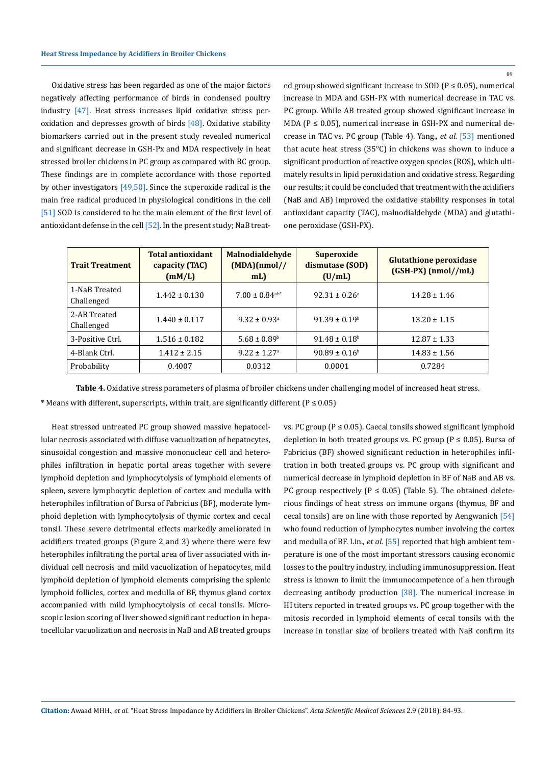Oxidative stress has been regarded as one of the major factors negatively affecting performance of birds in condensed poultry industry [47]. Heat stress increases lipid oxidative stress peroxidation and depresses growth of birds  $[48]$ . Oxidative stability biomarkers carried out in the present study revealed numerical and significant decrease in GSH-Px and MDA respectively in heat stressed broiler chickens in PC group as compared with BC group. These findings are in complete accordance with those reported by other investigators  $[49,50]$ . Since the superoxide radical is the main free radical produced in physiological conditions in the cell [51] SOD is considered to be the main element of the first level of antioxidant defense in the cell [52]. In the present study; NaB treated group showed significant increase in SOD ( $P \le 0.05$ ), numerical increase in MDA and GSH-PX with numerical decrease in TAC vs. PC group. While AB treated group showed significant increase in MDA ( $P \le 0.05$ ), numerical increase in GSH-PX and numerical decrease in TAC vs. PC group (Table 4). Yang., *et al.* [53] mentioned that acute heat stress (35°C) in chickens was shown to induce a significant production of reactive oxygen species (ROS), which ultimately results in lipid peroxidation and oxidative stress. Regarding our results; it could be concluded that treatment with the acidifiers (NaB and AB) improved the oxidative stability responses in total antioxidant capacity (TAC), malnodialdehyde (MDA) and glutathione peroxidase (GSH-PX).

| <b>Trait Treatment</b>      | <b>Total antioxidant</b><br>capacity (TAC)<br>(mM/L) | <b>Malnodialdehyde</b><br>(MDA)(nmol)/<br>mL | <b>Superoxide</b><br>dismutase (SOD)<br>(U/mL) | <b>Glutathione peroxidase</b><br>$(GSH-PX)$ (nmol//mL) |
|-----------------------------|------------------------------------------------------|----------------------------------------------|------------------------------------------------|--------------------------------------------------------|
| 1-NaB Treated<br>Challenged | $1.442 \pm 0.130$                                    | $7.00 \pm 0.84$ <sup>ab*</sup>               | $92.31 \pm 0.26^a$                             | $14.28 \pm 1.46$                                       |
| 2-AB Treated<br>Challenged  | $1.440 \pm 0.117$                                    | $9.32 \pm 0.93$ <sup>a</sup>                 | $91.39 \pm 0.19^{\rm b}$                       | $13.20 \pm 1.15$                                       |
| 3-Positive Ctrl.            | $1.516 \pm 0.182$                                    | $5.68 \pm 0.89^{\circ}$                      | $91.48 \pm 0.18^{\circ}$                       | $12.87 \pm 1.33$                                       |
| 4-Blank Ctrl.               | $1.412 \pm 2.15$                                     | $9.22 \pm 1.27$ <sup>a</sup>                 | $90.89 \pm 0.16^b$                             | $14.83 \pm 1.56$                                       |
| Probability                 | 0.4007                                               | 0.0312                                       | 0.0001                                         | 0.7284                                                 |

**Table 4.** Oxidative stress parameters of plasma of broiler chickens under challenging model of increased heat stress.

\* Means with different, superscripts, within trait, are significantly different ( $P \le 0.05$ )

Heat stressed untreated PC group showed massive hepatocellular necrosis associated with diffuse vacuolization of hepatocytes, sinusoidal congestion and massive mononuclear cell and heterophiles infiltration in hepatic portal areas together with severe lymphoid depletion and lymphocytolysis of lymphoid elements of spleen, severe lymphocytic depletion of cortex and medulla with heterophiles infiltration of Bursa of Fabricius (BF), moderate lymphoid depletion with lymphocytolysis of thymic cortex and cecal tonsil. These severe detrimental effects markedly ameliorated in acidifiers treated groups (Figure 2 and 3) where there were few heterophiles infiltrating the portal area of liver associated with individual cell necrosis and mild vacuolization of hepatocytes, mild lymphoid depletion of lymphoid elements comprising the splenic lymphoid follicles, cortex and medulla of BF, thymus gland cortex accompanied with mild lymphocytolysis of cecal tonsils. Microscopic lesion scoring of liver showed significant reduction in hepatocellular vacuolization and necrosis in NaB and AB treated groups vs. PC group ( $P \le 0.05$ ). Caecal tonsils showed significant lymphoid depletion in both treated groups vs. PC group ( $P \le 0.05$ ). Bursa of Fabricius (BF) showed significant reduction in heterophiles infiltration in both treated groups vs. PC group with significant and numerical decrease in lymphoid depletion in BF of NaB and AB vs. PC group respectively ( $P \le 0.05$ ) (Table 5). The obtained deleterious findings of heat stress on immune organs (thymus, BF and cecal tonsils) are on line with those reported by Aengwanich [54] who found reduction of lymphocytes number involving the cortex and medulla of BF. Lin., *et al.* [55] reported that high ambient temperature is one of the most important stressors causing economic losses to the poultry industry, including immunosuppression. Heat stress is known to limit the immunocompetence of a hen through decreasing antibody production [38]. The numerical increase in HI titers reported in treated groups vs. PC group together with the mitosis recorded in lymphoid elements of cecal tonsils with the increase in tonsilar size of broilers treated with NaB confirm its

89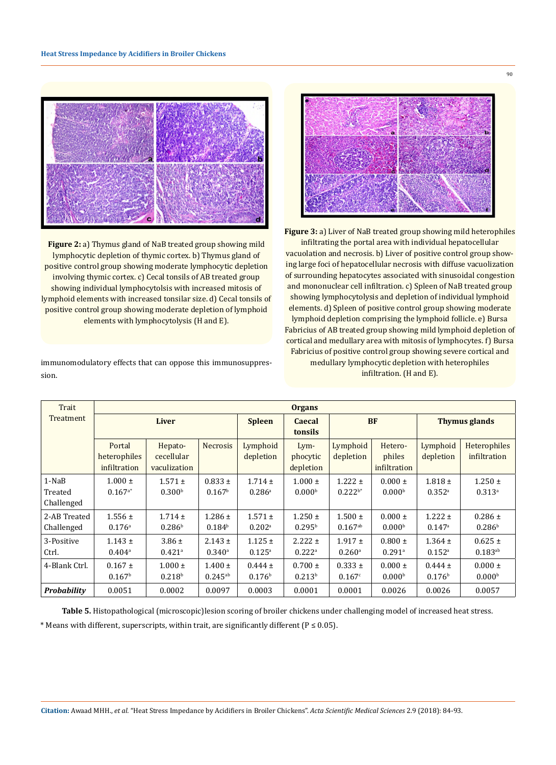

**Figure 2:** a) Thymus gland of NaB treated group showing mild lymphocytic depletion of thymic cortex. b) Thymus gland of positive control group showing moderate lymphocytic depletion involving thymic cortex. c) Cecal tonsils of AB treated group showing individual lymphocytolsis with increased mitosis of lymphoid elements with increased tonsilar size. d) Cecal tonsils of positive control group showing moderate depletion of lymphoid elements with lymphocytolysis (H and E).

immunomodulatory effects that can oppose this immunosuppression.



**Figure 3:** a) Liver of NaB treated group showing mild heterophiles infiltrating the portal area with individual hepatocellular vacuolation and necrosis. b) Liver of positive control group showing large foci of hepatocellular necrosis with diffuse vacuolization of surrounding hepatocytes associated with sinusoidal congestion and mononuclear cell infiltration. c) Spleen of NaB treated group showing lymphocytolysis and depletion of individual lymphoid elements. d) Spleen of positive control group showing moderate lymphoid depletion comprising the lymphoid follicle. e) Bursa Fabricius of AB treated group showing mild lymphoid depletion of cortical and medullary area with mitosis of lymphocytes. f) Bursa Fabricius of positive control group showing severe cortical and medullary lymphocytic depletion with heterophiles infiltration. (H and E).

| Trait                            |                                        | <b>Organs</b>                         |                                     |                                     |                                       |                                     |                                     |                                     |                                     |  |  |  |
|----------------------------------|----------------------------------------|---------------------------------------|-------------------------------------|-------------------------------------|---------------------------------------|-------------------------------------|-------------------------------------|-------------------------------------|-------------------------------------|--|--|--|
| Treatment                        |                                        | <b>Liver</b>                          |                                     | <b>Spleen</b>                       | <b>BF</b><br><b>Caecal</b><br>tonsils |                                     |                                     | <b>Thymus glands</b>                |                                     |  |  |  |
|                                  | Portal<br>heterophiles<br>infiltration | Hepato-<br>cecellular<br>vaculization | <b>Necrosis</b>                     | Lymphoid<br>depletion               | Lym-<br>phocytic<br>depletion         | Lymphoid<br>depletion               | Hetero-<br>philes<br>infiltration   | Lymphoid<br>depletion               | Heterophiles<br>infiltration        |  |  |  |
| $1-NaB$<br>Treated<br>Challenged | $1.000 \pm$<br>$0.167^{a*}$            | $1.571 \pm$<br>0.300 <sup>b</sup>     | $0.833 \pm$<br>0.167 <sup>b</sup>   | $1.714 \pm$<br>$0.286$ <sup>a</sup> | $1.000 \pm$<br>0.000 <sup>b</sup>     | $1.222 \pm$<br>$0.222^{b*}$         | $0.000 \pm$<br>0.000 <sup>b</sup>   | $1.818 \pm$<br>$0.352$ <sup>a</sup> | $1.250 \pm$<br>$0.313$ <sup>a</sup> |  |  |  |
| 2-AB Treated<br>Challenged       | $1.556 \pm$<br>$0.176$ <sup>a</sup>    | $1.714 \pm$<br>0.286 <sup>b</sup>     | $1.286 \pm$<br>0.184 <sup>b</sup>   | $1.571 \pm$<br>$0.202$ <sup>a</sup> | $1.250 \pm$<br>0.295 <sup>b</sup>     | $1.500 \pm$<br>$0.167^{ab}$         | $0.000 \pm$<br>0.000 <sup>b</sup>   | $1.222 \pm$<br>0.147a               | $0.286 \pm$<br>0.286 <sup>b</sup>   |  |  |  |
| 3-Positive<br>Ctrl.              | $1.143 \pm$<br>$0.404$ <sup>a</sup>    | $3.86 \pm$<br>$0.421$ <sup>a</sup>    | $2.143 \pm$<br>$0.340$ <sup>a</sup> | $1.125 \pm$<br>$0.125^{a}$          | $2.222 \pm$<br>$0.222$ <sup>a</sup>   | $1.917 \pm$<br>$0.260$ <sup>a</sup> | $0.800 \pm$<br>$0.291$ <sup>a</sup> | $1.364 \pm$<br>$0.152$ <sup>a</sup> | $0.625 \pm$<br>$0.183^{ab}$         |  |  |  |
| 4-Blank Ctrl.                    | $0.167 \pm$<br>0.167 <sup>b</sup>      | $1.000 \pm$<br>0.218 <sup>b</sup>     | $1.400 \pm$<br>$0.245^{ab}$         | $0.444 \pm$<br>0.176 <sup>b</sup>   | $0.700 \pm$<br>0.213 <sup>b</sup>     | $0.333 \pm$<br>0.167c               | $0.000 \pm$<br>0.000 <sup>b</sup>   | $0.444 \pm$<br>0.176 <sup>b</sup>   | $0.000 \pm$<br>0.000 <sup>b</sup>   |  |  |  |
| Probability                      | 0.0051                                 | 0.0002                                | 0.0097                              | 0.0003                              | 0.0001                                | 0.0001                              | 0.0026                              | 0.0026                              | 0.0057                              |  |  |  |

**Table 5.** Histopathological (microscopic)lesion scoring of broiler chickens under challenging model of increased heat stress. \* Means with different, superscripts, within trait, are significantly different ( $P \le 0.05$ ).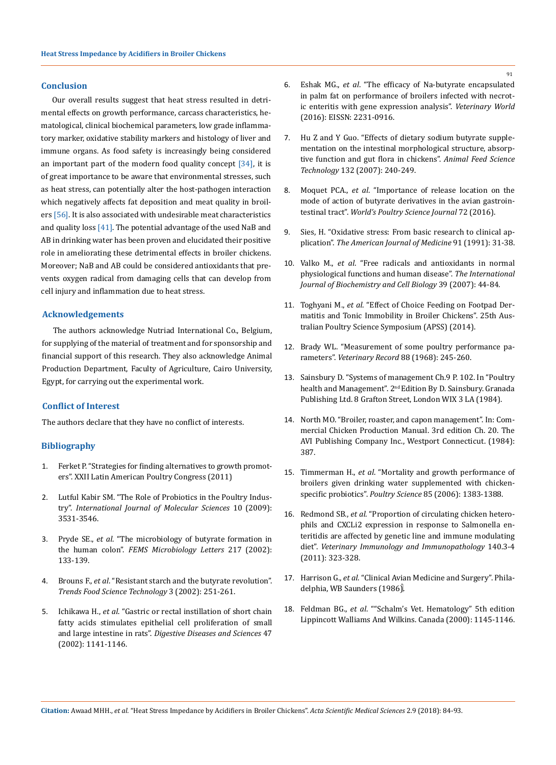### **Conclusion**

Our overall results suggest that heat stress resulted in detrimental effects on growth performance, carcass characteristics, hematological, clinical biochemical parameters, low grade inflammatory marker, oxidative stability markers and histology of liver and immune organs. As food safety is increasingly being considered an important part of the modern food quality concept [34], it is of great importance to be aware that environmental stresses, such as heat stress, can potentially alter the host-pathogen interaction which negatively affects fat deposition and meat quality in broilers [56]. It is also associated with undesirable meat characteristics and quality loss [41]. The potential advantage of the used NaB and AB in drinking water has been proven and elucidated their positive role in ameliorating these detrimental effects in broiler chickens. Moreover; NaB and AB could be considered antioxidants that prevents oxygen radical from damaging cells that can develop from cell injury and inflammation due to heat stress.

### **Acknowledgements**

The authors acknowledge Nutriad International Co., Belgium, for supplying of the material of treatment and for sponsorship and financial support of this research. They also acknowledge Animal Production Department, Faculty of Agriculture, Cairo University, Egypt, for carrying out the experimental work.

## **Conflict of Interest**

The authors declare that they have no conflict of interests.

#### **Bibliography**

- 1. Ferket P. "Strategies for finding alternatives to growth promoters". XXII Latin American Poultry Congress (2011)
- 2. [Lutful Kabir SM. "The Role of Probiotics in the Poultry Indus](https://www.ncbi.nlm.nih.gov/pmc/articles/PMC2812824/)try". *[International Journal of Molecular Sciences](https://www.ncbi.nlm.nih.gov/pmc/articles/PMC2812824/)* 10 (2009): [3531-3546.](https://www.ncbi.nlm.nih.gov/pmc/articles/PMC2812824/)
- 3. Pryde SE., *et al*[. "The microbiology of butyrate formation in](https://www.ncbi.nlm.nih.gov/pubmed/12480096) the human colon". *[FEMS Microbiology Letters](https://www.ncbi.nlm.nih.gov/pubmed/12480096)* 217 (2002): [133-139.](https://www.ncbi.nlm.nih.gov/pubmed/12480096)
- 4. Brouns F., *et al*[. "Resistant starch and the butyrate revolution".](https://www.sciencedirect.com/science/article/abs/pii/S0924224402001310) *[Trends Food Science Technology](https://www.sciencedirect.com/science/article/abs/pii/S0924224402001310)* 3 (2002): 251-261.
- 5. Ichikawa H., *et al*[. "Gastric or rectal instillation of short chain](https://www.ncbi.nlm.nih.gov/pubmed/12018914) [fatty acids stimulates epithelial cell proliferation of small](https://www.ncbi.nlm.nih.gov/pubmed/12018914) and large intestine in rats". *[Digestive Diseases and Sciences](https://www.ncbi.nlm.nih.gov/pubmed/12018914)* 47 [\(2002\): 1141-1146.](https://www.ncbi.nlm.nih.gov/pubmed/12018914)
- 6. Eshak MG., *et al*[. "The efficacy of Na-butyrate encapsulated](http://www.veterinaryworld.org/Vol.9/May-2016/4.html) [in palm fat on performance of broilers infected with necrot](http://www.veterinaryworld.org/Vol.9/May-2016/4.html)[ic enteritis with gene expression analysis".](http://www.veterinaryworld.org/Vol.9/May-2016/4.html) *Veterinary World* [\(2016\): EISSN: 2231-0916.](http://www.veterinaryworld.org/Vol.9/May-2016/4.html)
- 7. [Hu Z and Y Guo. "Effects of dietary sodium butyrate supple](https://www.sciencedirect.com/science/article/pii/S0377840106001519)[mentation on the intestinal morphological structure, absorp](https://www.sciencedirect.com/science/article/pii/S0377840106001519)[tive function and gut flora in chickens".](https://www.sciencedirect.com/science/article/pii/S0377840106001519) *Animal Feed Science Technology* [132 \(2007\): 240-249.](https://www.sciencedirect.com/science/article/pii/S0377840106001519)
- 8. Moquet PCA., *et al*[. "Importance of release location on the](https://www.cambridge.org/core/journals/world-s-poultry-science-journal/article/importance-of-release-location-on-the-mode-of-action-of-butyrate-derivatives-in-the-avian-gastrointestinal-tract/79D3511251B5A3A1C15229D08CC6AE0E)  [mode of action of butyrate derivatives in the avian gastroin](https://www.cambridge.org/core/journals/world-s-poultry-science-journal/article/importance-of-release-location-on-the-mode-of-action-of-butyrate-derivatives-in-the-avian-gastrointestinal-tract/79D3511251B5A3A1C15229D08CC6AE0E)testinal tract". *[World's Poultry Science Journal](https://www.cambridge.org/core/journals/world-s-poultry-science-journal/article/importance-of-release-location-on-the-mode-of-action-of-butyrate-derivatives-in-the-avian-gastrointestinal-tract/79D3511251B5A3A1C15229D08CC6AE0E)* 72 (2016).
- 9. [Sies, H. "Oxidative stress: From basic research to clinical ap](https://www.ncbi.nlm.nih.gov/pubmed/1928209)plication". *[The American Journal of Medicine](https://www.ncbi.nlm.nih.gov/pubmed/1928209)* 91 (1991): 31-38.
- 10. Valko M., *et al*[. "Free radicals and antioxidants in normal](https://www.ncbi.nlm.nih.gov/pubmed/16978905)  [physiological functions and human disease".](https://www.ncbi.nlm.nih.gov/pubmed/16978905) *The International [Journal of Biochemistry and Cell Biology](https://www.ncbi.nlm.nih.gov/pubmed/16978905)* 39 (2007): 44-84.
- 11. Toghyani M., *et al*[. "Effect of Choice Feeding on Footpad Der](https://en.engormix.com/poultry-industry/articles/effect-choice-feeding-footpad-t36361.htm)[matitis and Tonic Immobility in Broiler Chickens". 25th Aus](https://en.engormix.com/poultry-industry/articles/effect-choice-feeding-footpad-t36361.htm)[tralian Poultry Science Symposium \(APSS\) \(2014\).](https://en.engormix.com/poultry-industry/articles/effect-choice-feeding-footpad-t36361.htm)
- 12. Brady WL. "Measurement of some poultry performance parameters". *Veterinary Record* 88 (1968): 245-260.
- 13. Sainsbury D. "Systems of management Ch.9 P. 102. In "Poultry health and Management". 2<sup>nd</sup> Edition By D. Sainsbury. Granada Publishing Ltd. 8 Grafton Street, London WIX 3 LA (1984).
- 14. North MO. "Broiler, roaster, and capon management". In: Commercial Chicken Production Manual. 3rd edition Ch. 20. The AVI Publishing Company Inc., Westport Connecticut. (1984): 387.
- 15. Timmerman H., *et al*[. "Mortality and growth performance of](https://www.ncbi.nlm.nih.gov/pubmed/16903468) [broilers given drinking water supplemented with chicken](https://www.ncbi.nlm.nih.gov/pubmed/16903468)specific probiotics". *Poultry Science* [85 \(2006\): 1383-1388.](https://www.ncbi.nlm.nih.gov/pubmed/16903468)
- 16. Redmond SB., *et al*[. "Proportion of circulating chicken hetero](https://www.ncbi.nlm.nih.gov/pubmed/21295352)[phils and CXCLi2 expression in response to Salmonella en](https://www.ncbi.nlm.nih.gov/pubmed/21295352)[teritidis are affected by genetic line and immune modulating](https://www.ncbi.nlm.nih.gov/pubmed/21295352)  diet". *[Veterinary Immunology and Immunopathology](https://www.ncbi.nlm.nih.gov/pubmed/21295352)* 140.3-4 [\(2011\): 323-328.](https://www.ncbi.nlm.nih.gov/pubmed/21295352)
- 17. Harrison G., *et al*[. "Clinical Avian Medicine and Surgery". Phila](http://avianmedicine.net/wp/publication_cat/clinical-avian-medicine-and-surgery/)[delphia, WB Saunders \(1986\).](http://avianmedicine.net/wp/publication_cat/clinical-avian-medicine-and-surgery/)
- 18. Feldman BG., *et al*. ""Schalm's Vet. Hematology" 5th edition Lippincott Walliams And Wilkins. Canada (2000): 1145-1146.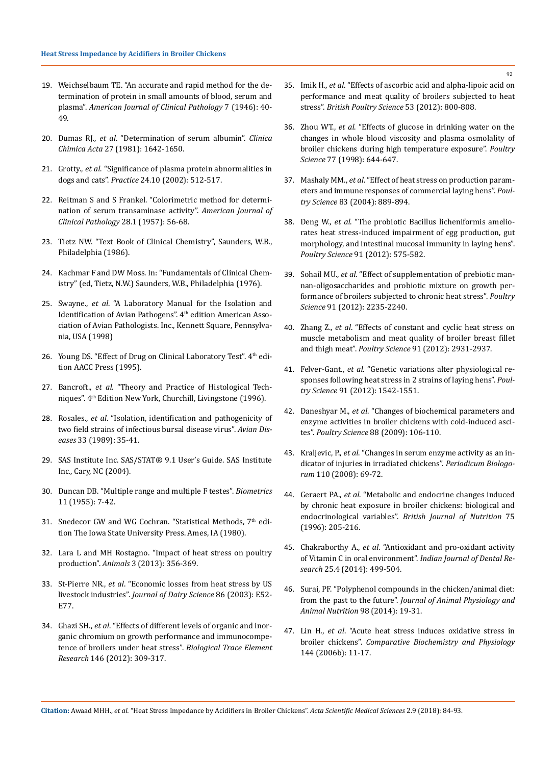- 19. [Weichselbaum TE. "An accurate and rapid method for the de](https://www.ncbi.nlm.nih.gov/pubmed/21027099)[termination of protein in small amounts of blood, serum and](https://www.ncbi.nlm.nih.gov/pubmed/21027099) plasma". *[American Journal of Clinical Pathology](https://www.ncbi.nlm.nih.gov/pubmed/21027099)* 7 (1946): 40- [49.](https://www.ncbi.nlm.nih.gov/pubmed/21027099)
- 20. Dumas RJ., *et al*[. "Determination of serum albumin".](https://www.sciencedirect.com/science/article/pii/B9780126091076500222) *Clinica Chimica Acta* [27 \(1981\): 1642-1650.](https://www.sciencedirect.com/science/article/pii/B9780126091076500222)
- 21. Grotty., *et al*. "Significance of plasma protein abnormalities in dogs and cats". *Practice* 24.10 (2002): 512-517.
- 22. [Reitman S and S Frankel. "Colorimetric method for determi](https://academic.oup.com/ajcp/article-abstract/28/1/56/1767988?redirectedFrom=fulltext)[nation of serum transaminase activity".](https://academic.oup.com/ajcp/article-abstract/28/1/56/1767988?redirectedFrom=fulltext) *American Journal of [Clinical Pathology](https://academic.oup.com/ajcp/article-abstract/28/1/56/1767988?redirectedFrom=fulltext)* 28.1 (1957): 56-68.
- 23. Tietz NW. "Text Book of Clinical Chemistry", Saunders, W.B., Philadelphia (1986).
- 24. Kachmar F and DW Moss. In: "Fundamentals of Clinical Chemistry" (ed, Tietz, N.W.) Saunders, W.B., Philadelphia (1976).
- 25. Swayne., *et al*. "A Laboratory Manual for the Isolation and Identification of Avian Pathogens". 4<sup>th</sup> edition American Association of Avian Pathologists. Inc., Kennett Square, Pennsylvania, USA (1998)
- 26. Young DS. "Effect of Drug on Clinical Laboratory Test". 4th edition AACC Press (1995).
- 27. Bancroft., *et al*. "Theory and Practice of Histological Techniques". 4th Edition New York, Churchill, Livingstone (1996).
- 28. Rosales., *et al*. "Isolation, identification and pathogenicity of two field strains of infectious bursal disease virus". *Avian Diseases* 33 (1989): 35-41.
- 29. SAS Institute Inc. SAS/STAT® 9.1 User's Guide. SAS Institute Inc., Cary, NC (2004).
- 30. [Duncan DB. "Multiple range and multiple F testes".](https://www.jstor.org/stable/pdf/3001478.pdf) *Biometrics* [11 \(1955\): 7-42.](https://www.jstor.org/stable/pdf/3001478.pdf)
- 31. Snedecor GW and WG Cochran. "Statistical Methods, 7th edition The Iowa State University Press. Ames, IA (1980).
- 32. [Lara L and MH Rostagno. "Impact of heat stress on poultry](https://www.ncbi.nlm.nih.gov/pmc/articles/PMC4494392/) production". *Animals* [3 \(2013\): 356-369.](https://www.ncbi.nlm.nih.gov/pmc/articles/PMC4494392/)
- 33. St-Pierre NR., *et al*[. "Economic losses from heat stress by US](https://www.journalofdairyscience.org/article/S0022-0302%2803%2974040-5/abstract) livestock industries". *[Journal of Dairy Science](https://www.journalofdairyscience.org/article/S0022-0302%2803%2974040-5/abstract)* 86 (2003): E52- [E77.](https://www.journalofdairyscience.org/article/S0022-0302%2803%2974040-5/abstract)
- 34. Ghazi SH., *et al*[. "Effects of different levels of organic and inor](https://www.ncbi.nlm.nih.gov/pubmed/22127829)[ganic chromium on growth performance and immunocompe](https://www.ncbi.nlm.nih.gov/pubmed/22127829)[tence of broilers under heat stress".](https://www.ncbi.nlm.nih.gov/pubmed/22127829) *Biological Trace Element Research* [146 \(2012\): 309-317.](https://www.ncbi.nlm.nih.gov/pubmed/22127829)
- 35. Imik H., *et al*[. "Effects of ascorbic acid and alpha-lipoic acid on](https://www.ncbi.nlm.nih.gov/pubmed/23398425) [performance and meat quality of broilers subjected to heat](https://www.ncbi.nlm.nih.gov/pubmed/23398425) stress". *[British Poultry Science](https://www.ncbi.nlm.nih.gov/pubmed/23398425)* 53 (2012): 800-808.
- 36. Zhou WT., *et al*[. "Effects of glucose in drinking water on the](https://www.ncbi.nlm.nih.gov/pubmed/9603349) [changes in whole blood viscosity and plasma osmolality of](https://www.ncbi.nlm.nih.gov/pubmed/9603349) [broiler chickens during high temperature exposure".](https://www.ncbi.nlm.nih.gov/pubmed/9603349) *Poultry Science* [77 \(1998\): 644-647.](https://www.ncbi.nlm.nih.gov/pubmed/9603349)
- 37. Mashaly MM., *et al*[. "Effect of heat stress on production param](https://www.ncbi.nlm.nih.gov/pubmed/15206614)[eters and immune responses of commercial laying hens".](https://www.ncbi.nlm.nih.gov/pubmed/15206614) *Poultry Science* [83 \(2004\): 889-894.](https://www.ncbi.nlm.nih.gov/pubmed/15206614)
- 38. Deng W., *et al*[. "The probiotic Bacillus licheniformis amelio](https://www.ncbi.nlm.nih.gov/pubmed/22334732)[rates heat stress-induced impairment of egg production, gut](https://www.ncbi.nlm.nih.gov/pubmed/22334732) [morphology, and intestinal mucosal immunity in laying hens".](https://www.ncbi.nlm.nih.gov/pubmed/22334732) *Poultry Science* [91 \(2012\): 575-582.](https://www.ncbi.nlm.nih.gov/pubmed/22334732)
- 39. Sohail MU., *et al*[. "Effect of supplementation of prebiotic man](https://www.ncbi.nlm.nih.gov/pubmed/22912458)[nan-oligosaccharides and probiotic mixture on growth per](https://www.ncbi.nlm.nih.gov/pubmed/22912458)[formance of broilers subjected to chronic heat stress".](https://www.ncbi.nlm.nih.gov/pubmed/22912458) *Poultry Science* [91 \(2012\): 2235-2240.](https://www.ncbi.nlm.nih.gov/pubmed/22912458)
- 40. Zhang Z., *et al*[. "Effects of constant and cyclic heat stress on](https://www.ncbi.nlm.nih.gov/pubmed/23091152) [muscle metabolism and meat quality of broiler breast fillet](https://www.ncbi.nlm.nih.gov/pubmed/23091152) and thigh meat". *Poultry Science* [91 \(2012\): 2931-2937.](https://www.ncbi.nlm.nih.gov/pubmed/23091152)
- 41. Felver-Gant., *et al*[. "Genetic variations alter physiological re](https://www.ncbi.nlm.nih.gov/pubmed/22700497)[sponses following heat stress in 2 strains of laying hens".](https://www.ncbi.nlm.nih.gov/pubmed/22700497) *Poultry Science* [91 \(2012\): 1542-1551.](https://www.ncbi.nlm.nih.gov/pubmed/22700497)
- 42. Daneshyar M., *et al*[. "Changes of biochemical parameters and](https://academic.oup.com/ps/article/88/1/106/1487736) [enzyme activities in broiler chickens with cold-induced asci](https://academic.oup.com/ps/article/88/1/106/1487736)tes". *Poultry Science* [88 \(2009\): 106-110.](https://academic.oup.com/ps/article/88/1/106/1487736)
- 43. Kraljevic, P., *et al*. "Changes in serum enzyme activity as an indicator of injuries in irradiated chickens". *Periodicum Biologorum* 110 (2008): 69-72.
- 44. Geraert PA., *et al*[. "Metabolic and endocrine changes induced](https://www.ncbi.nlm.nih.gov/pubmed/8785199) [by chronic heat exposure in broiler chickens: biological and](https://www.ncbi.nlm.nih.gov/pubmed/8785199) endocrinological variables". *[British Journal of Nutrition](https://www.ncbi.nlm.nih.gov/pubmed/8785199)* 75 [\(1996\): 205-216.](https://www.ncbi.nlm.nih.gov/pubmed/8785199)
- 45. Chakraborthy A., *et al*[. "Antioxidant and pro-oxidant activity](https://www.ncbi.nlm.nih.gov/pubmed/25307916) [of Vitamin C in oral environment".](https://www.ncbi.nlm.nih.gov/pubmed/25307916) *Indian Journal of Dental Research* [25.4 \(2014\): 499-504.](https://www.ncbi.nlm.nih.gov/pubmed/25307916)
- 46. [Surai, PF. "Polyphenol compounds in the chicken/animal diet:](https://www.ncbi.nlm.nih.gov/pubmed/23527581) from the past to the future". *[Journal of Animal Physiology and](https://www.ncbi.nlm.nih.gov/pubmed/23527581) [Animal Nutrition](https://www.ncbi.nlm.nih.gov/pubmed/23527581)* 98 (2014): 19-31.
- 47. Lin H., *et al*[. "Acute heat stress induces oxidative stress in](https://www.ncbi.nlm.nih.gov/pubmed/16517194) broiler chickens". *[Comparative Biochemistry and Physiology](https://www.ncbi.nlm.nih.gov/pubmed/16517194)*  [144 \(2006b\): 11-17.](https://www.ncbi.nlm.nih.gov/pubmed/16517194)